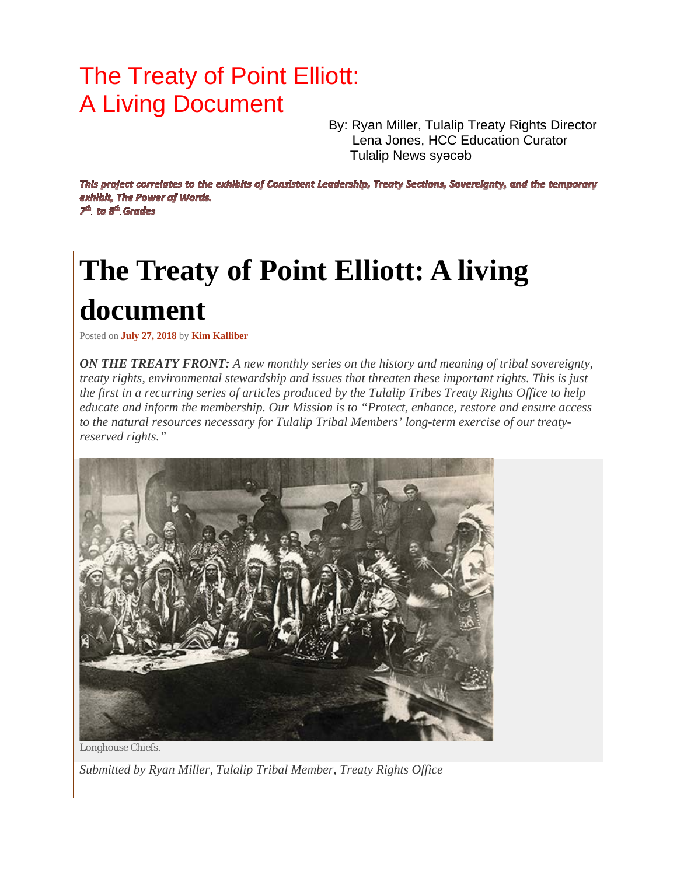## The Treaty of Point Elliott: A Living Document

By: Ryan Miller, Tulalip Treaty Rights Director Lena Jones, HCC Education Curator Tulalip News syǝcǝb

This project correlates to the exhibits of Consistent Leadership, Treaty Sections, Sovereignty, and the temporary exhibit, The Power of Words.  $7<sup>th</sup>$  to  $8<sup>th</sup>$  Grades

## **The Treaty of Point Elliott: A living document**

Posted on **July 27, [2018](https://www.tulalipnews.com/wp/2018/07/27/the-treaty-of-point-elliott-a-living-document/)** by **Kim [Kalliber](https://www.tulalipnews.com/wp/author/kim-kalliber/)**

*ON THE TREATY FRONT: A new monthly series on the history and meaning of tribal sovereignty, treaty rights, environmental stewardship and issues that threaten these important rights. This is just* the first in a recurring series of articles produced by the Tulalip Tribes Treaty Rights Office to help *educate and inform the membership. Our Mission is to "Protect, enhance, restore and ensure access to the natural resources necessary for Tulalip Tribal Members' long-term exercise of our treatyreserved rights."*



*Submitted by Ryan Miller, Tulalip Tribal Member, Treaty Rights Office*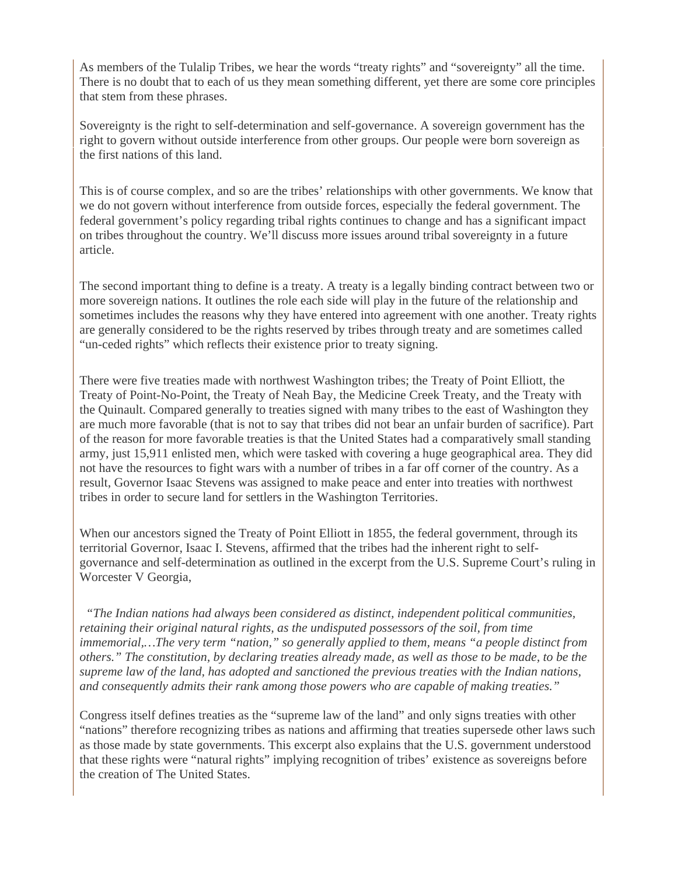As members of the Tulalip Tribes, we hear the words "treaty rights" and "sovereignty" all the time. There is no doubt that to each of us they mean something different, yet there are some core principles that stem from these phrases.

Sovereignty is the right to self-determination and self-governance. A sovereign government has the right to govern without outside interference from other groups. Our people were born sovereign as the first nations of this land.

This is of course complex, and so are the tribes' relationships with other governments. We know that we do not govern without interference from outside forces, especially the federal government. The federal government's policy regarding tribal rights continues to change and has a significant impact on tribes throughout the country. We'll discuss more issues around tribal sovereignty in a future article.

The second important thing to define is a treaty. A treaty is a legally binding contract between two or more sovereign nations. It outlines the role each side will play in the future of the relationship and sometimes includes the reasons why they have entered into agreement with one another. Treaty rights are generally considered to be the rights reserved by tribes through treaty and are sometimes called "un-ceded rights" which reflects their existence prior to treaty signing.

There were five treaties made with northwest Washington tribes; the Treaty of Point Elliott, the Treaty of Point-No-Point, the Treaty of Neah Bay, the Medicine Creek Treaty, and the Treaty with the Quinault. Compared generally to treaties signed with many tribes to the east of Washington they are much more favorable (that is not to say that tribes did not bear an unfair burden of sacrifice). Part of the reason for more favorable treaties is that the United States had a comparatively small standing army, just 15,911 enlisted men, which were tasked with covering a huge geographical area. They did not have the resources to fight wars with a number of tribes in a far off corner of the country. As a result, Governor Isaac Stevens was assigned to make peace and enter into treaties with northwest tribes in order to secure land for settlers in the Washington Territories.

When our ancestors signed the Treaty of Point Elliott in 1855, the federal government, through its territorial Governor, Isaac I. Stevens, affirmed that the tribes had the inherent right to selfgovernance and self-determination as outlined in the excerpt from the U.S. Supreme Court's ruling in Worcester V Georgia,

 *"The Indian nations had always been considered as distinct, independent political communities, retaining their original natural rights, as the undisputed possessors of the soil, from time immemorial,…The very term "nation," so generally applied to them, means "a people distinct from others." The constitution, by declaring treaties already made, as well as those to be made, to be the supreme law of the land, has adopted and sanctioned the previous treaties with the Indian nations, and consequently admits their rank among those powers who are capable of making treaties."*

Congress itself defines treaties as the "supreme law of the land" and only signs treaties with other "nations" therefore recognizing tribes as nations and affirming that treaties supersede other laws such as those made by state governments. This excerpt also explains that the U.S. government understood that these rights were "natural rights" implying recognition of tribes' existence as sovereigns before the creation of The United States.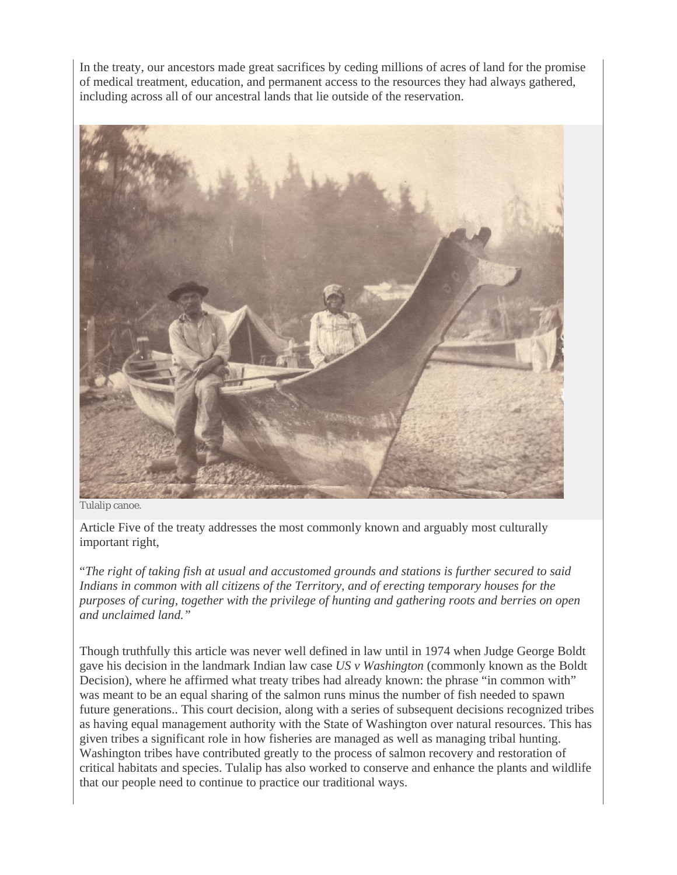In the treaty, our ancestors made great sacrifices by ceding millions of acres of land for the promise of medical treatment, education, and permanent access to the resources they had always gathered, including across all of our ancestral lands that lie outside of the reservation.



Tulalip canoe.

Article Five of the treaty addresses the most commonly known and arguably most culturally important right,

"*The right of taking fish at usual and accustomed grounds and stations is further secured to said Indians in common with all citizens of the Territory, and of erecting temporary houses for the purposes of curing, together with the privilege of hunting and gathering roots and berries on open and unclaimed land."*

Though truthfully this article was never well defined in law until in 1974 when Judge George Boldt gave his decision in the landmark Indian law case *US v Washington* (commonly known as the Boldt Decision), where he affirmed what treaty tribes had already known: the phrase "in common with" was meant to be an equal sharing of the salmon runs minus the number of fish needed to spawn future generations.. This court decision, along with a series of subsequent decisions recognized tribes as having equal management authority with the State of Washington over natural resources. This has given tribes a significant role in how fisheries are managed as well as managing tribal hunting. Washington tribes have contributed greatly to the process of salmon recovery and restoration of critical habitats and species. Tulalip has also worked to conserve and enhance the plants and wildlife that our people need to continue to practice our traditional ways.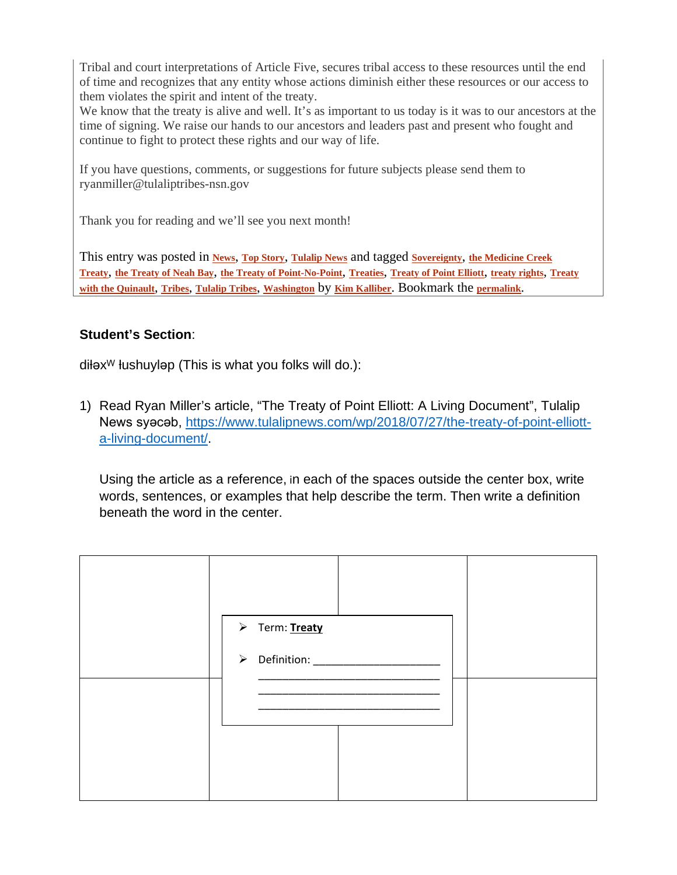Tribal and court interpretations of Article Five, secures tribal access to these resources until the end of time and recognizes that any entity whose actions diminish either these resources or our access to them violates the spirit and intent of the treaty.

We know that the treaty is alive and well. It's as important to us today is it was to our ancestors at the time of signing. We raise our hands to our ancestors and leaders past and present who fought and continue to fight to protect these rights and our way of life.

If you have questions, comments, or suggestions for future subjects please send them to ryanmiller@tulaliptribes-nsn.gov

Thank you for reading and we'll see you next month!

This entry was posted in **[News](https://www.tulalipnews.com/wp/category/news/)**, **Top [Story](https://www.tulalipnews.com/wp/category/top-story/)**, **[Tulalip](https://www.tulalipnews.com/wp/category/tulalip-news/) News** and tagged **[Sovereignty](https://www.tulalipnews.com/wp/tag/sovereignty/)**, **the [Medicine](https://www.tulalipnews.com/wp/tag/the-medicine-creek-treaty/) Creek** [Treaty](https://www.tulalipnews.com/wp/tag/treaty-with-the-quinault/), the Treaty of Neah Bay, the Treaty of [Point-No-Point](https://www.tulalipnews.com/wp/tag/the-treaty-of-point-no-point/), [Treaties](https://www.tulalipnews.com/wp/tag/treaties/), Treaty of Point Elliott, [treaty](https://www.tulalipnews.com/wp/tag/treaty-rights/) rights, Treaty **with the [Quinault](https://www.tulalipnews.com/wp/tag/treaty-with-the-quinault/)**, **[Tribes](https://www.tulalipnews.com/wp/tag/tribes/)**, **[Tulalip](https://www.tulalipnews.com/wp/tag/tulalip-tribes/) Tribes**, **[Washington](https://www.tulalipnews.com/wp/tag/washington/)** by **Kim [Kalliber](https://www.tulalipnews.com/wp/author/kim-kalliber/)**. Bookmark the **[permalink](https://www.tulalipnews.com/wp/2018/07/27/the-treaty-of-point-elliott-a-living-document/)**.

## **Student's Section**:

 $d$ ił $e^{w}$  łushuyl $e^{w}$  (This is what you folks will do.):

1) Read Ryan Miller's article, "The Treaty of Point Elliott: A Living Document", Tulalip News syacab, [https://www.tulalipnews.com/wp/2018/07/27/the-treaty-of-point-elliott](https://www.tulalipnews.com/wp/2018/07/27/the-treaty-of-point-elliott-a-living-document/)[a-living-document/.](https://www.tulalipnews.com/wp/2018/07/27/the-treaty-of-point-elliott-a-living-document/)

Using the article as a reference, in each of the spaces outside the center box, write words, sentences, or examples that help describe the term. Then write a definition beneath the word in the center.

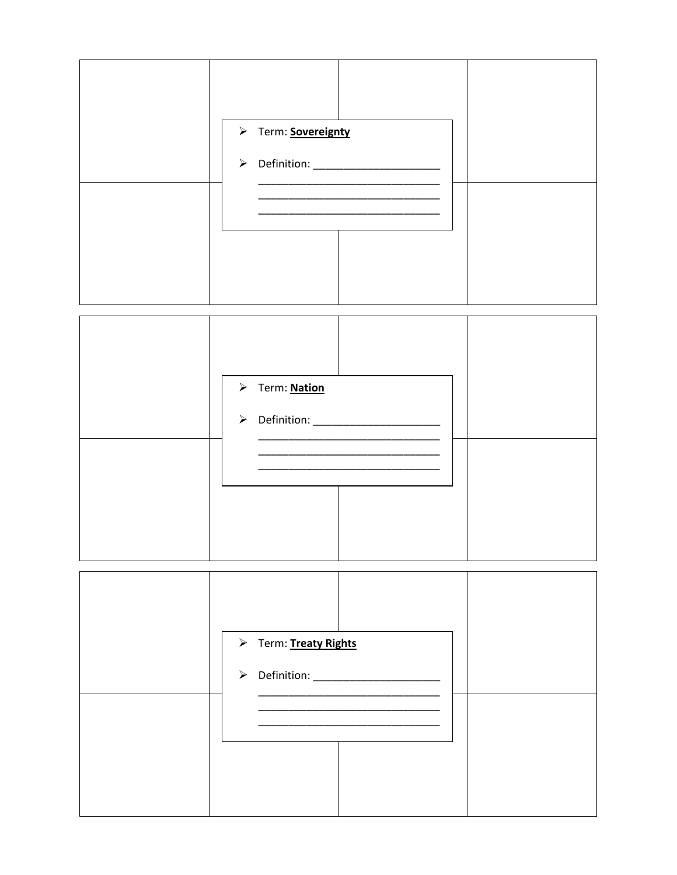



| > Term: Treaty Rights |  |
|-----------------------|--|
|                       |  |
|                       |  |
|                       |  |
|                       |  |
|                       |  |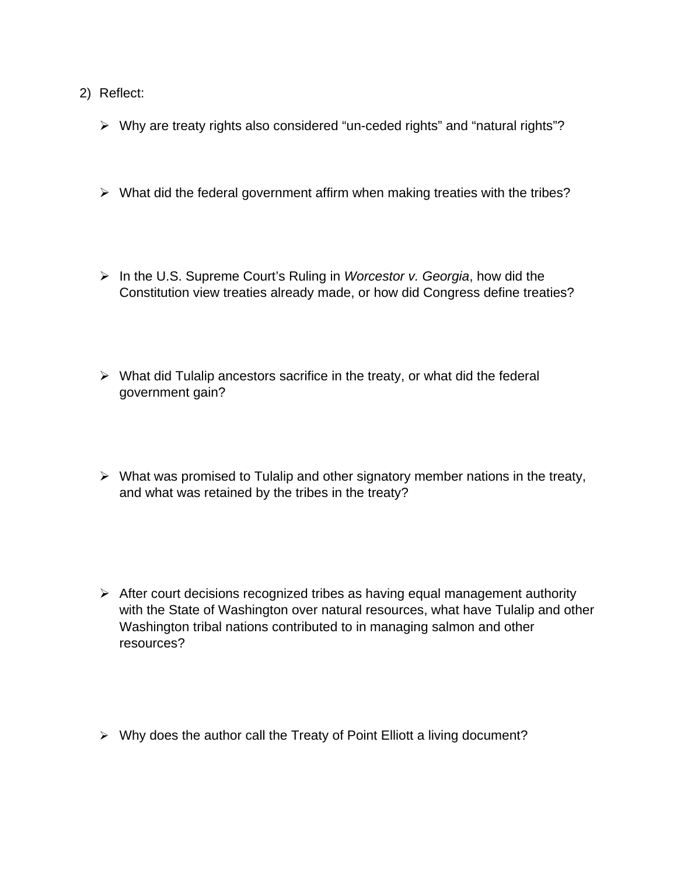- 2) Reflect:
	- Why are treaty rights also considered "un-ceded rights" and "natural rights"?
	- $\triangleright$  What did the federal government affirm when making treaties with the tribes?
	- In the U.S. Supreme Court's Ruling in *Worcestor v. Georgia*, how did the Constitution view treaties already made, or how did Congress define treaties?
	- $\triangleright$  What did Tulalip ancestors sacrifice in the treaty, or what did the federal government gain?
	- $\triangleright$  What was promised to Tulalip and other signatory member nations in the treaty, and what was retained by the tribes in the treaty?
	- $\triangleright$  After court decisions recognized tribes as having equal management authority with the State of Washington over natural resources, what have Tulalip and other Washington tribal nations contributed to in managing salmon and other resources?
	- $\triangleright$  Why does the author call the Treaty of Point Elliott a living document?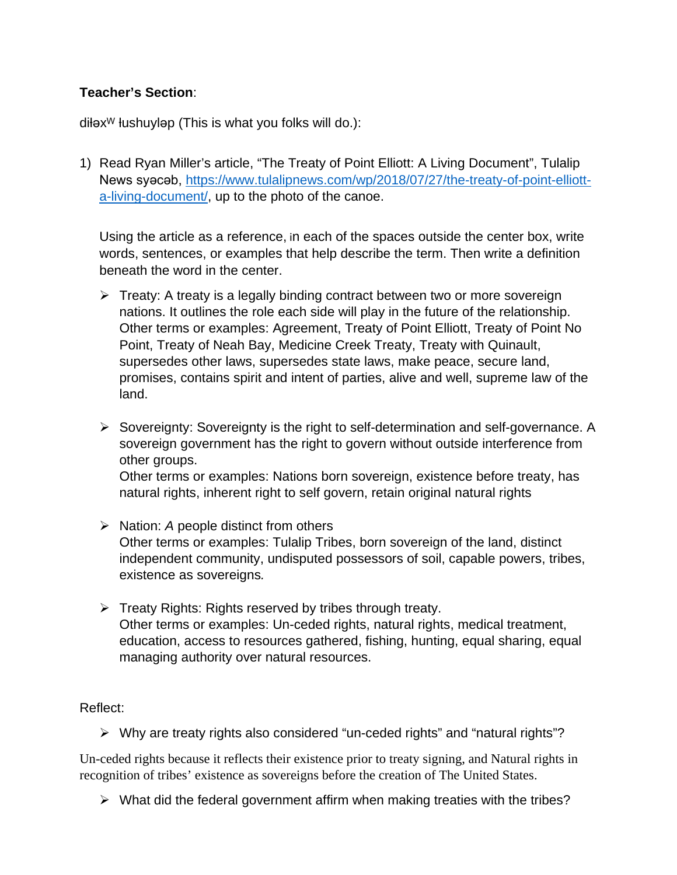## **Teacher's Section**:

 $d$ ił $e^{w}$  łushuyl $e^{w}$  (This is what you folks will do.):

1) Read Ryan Miller's article, "The Treaty of Point Elliott: A Living Document", Tulalip News syacab, [https://www.tulalipnews.com/wp/2018/07/27/the-treaty-of-point-elliott](https://www.tulalipnews.com/wp/2018/07/27/the-treaty-of-point-elliott-a-living-document/)[a-living-document/,](https://www.tulalipnews.com/wp/2018/07/27/the-treaty-of-point-elliott-a-living-document/) up to the photo of the canoe.

Using the article as a reference, in each of the spaces outside the center box, write words, sentences, or examples that help describe the term. Then write a definition beneath the word in the center.

- $\triangleright$  Treaty: A treaty is a legally binding contract between two or more sovereign nations. It outlines the role each side will play in the future of the relationship. Other terms or examples: Agreement, Treaty of Point Elliott, Treaty of Point No Point, Treaty of Neah Bay, Medicine Creek Treaty, Treaty with Quinault, supersedes other laws, supersedes state laws, make peace, secure land, promises, contains spirit and intent of parties, alive and well, supreme law of the land.
- $\triangleright$  Sovereignty: Sovereignty is the right to self-determination and self-governance. A sovereign government has the right to govern without outside interference from other groups.

Other terms or examples: Nations born sovereign, existence before treaty, has natural rights, inherent right to self govern, retain original natural rights

- **►** Nation: *A* people distinct from others Other terms or examples: Tulalip Tribes, born sovereign of the land, distinct independent community, undisputed possessors of soil, capable powers, tribes, existence as sovereigns*.*
- $\triangleright$  Treaty Rights: Rights reserved by tribes through treaty. Other terms or examples: Un-ceded rights, natural rights, medical treatment, education, access to resources gathered, fishing, hunting, equal sharing, equal managing authority over natural resources.

Reflect:

Why are treaty rights also considered "un-ceded rights" and "natural rights"?

Un-ceded rights because it reflects their existence prior to treaty signing, and Natural rights in recognition of tribes' existence as sovereigns before the creation of The United States.

 $\triangleright$  What did the federal government affirm when making treaties with the tribes?